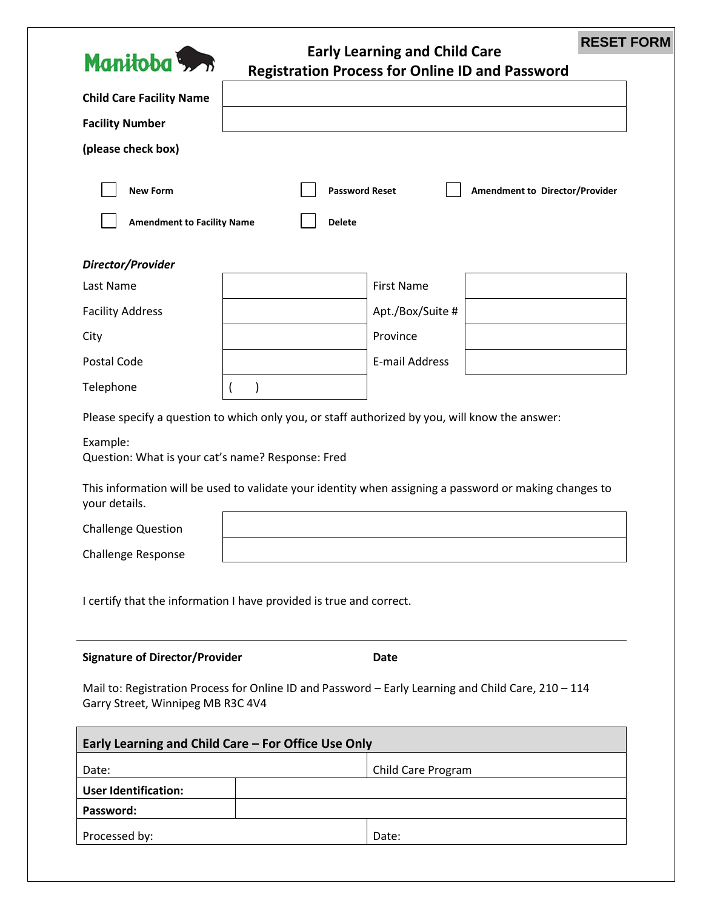

## **Early Learning and Child Care Registration Process for Online ID and Password**

**RESET FORM**

|                                                                                                                                          |  | <b>Registration Frocess for Omnie iD and Fassword</b>                                                  |
|------------------------------------------------------------------------------------------------------------------------------------------|--|--------------------------------------------------------------------------------------------------------|
| <b>Child Care Facility Name</b>                                                                                                          |  |                                                                                                        |
| <b>Facility Number</b>                                                                                                                   |  |                                                                                                        |
| (please check box)                                                                                                                       |  |                                                                                                        |
| <b>New Form</b><br><b>Password Reset</b><br>Amendment to Director/Provider<br><b>Amendment to Facility Name</b><br><b>Delete</b>         |  |                                                                                                        |
| Director/Provider                                                                                                                        |  |                                                                                                        |
| Last Name                                                                                                                                |  | <b>First Name</b>                                                                                      |
| <b>Facility Address</b>                                                                                                                  |  | Apt./Box/Suite #                                                                                       |
| City                                                                                                                                     |  | Province                                                                                               |
| Postal Code                                                                                                                              |  | E-mail Address                                                                                         |
| Telephone                                                                                                                                |  |                                                                                                        |
| Please specify a question to which only you, or staff authorized by you, will know the answer:                                           |  |                                                                                                        |
| Example:<br>Question: What is your cat's name? Response: Fred                                                                            |  |                                                                                                        |
| your details.                                                                                                                            |  | This information will be used to validate your identity when assigning a password or making changes to |
| <b>Challenge Question</b>                                                                                                                |  |                                                                                                        |
| <b>Challenge Response</b>                                                                                                                |  |                                                                                                        |
| I certify that the information I have provided is true and correct.                                                                      |  |                                                                                                        |
| <b>Signature of Director/Provider</b><br>Date                                                                                            |  |                                                                                                        |
| Mail to: Registration Process for Online ID and Password - Early Learning and Child Care, 210 - 114<br>Garry Street, Winnipeg MB R3C 4V4 |  |                                                                                                        |
| Early Learning and Child Care - For Office Use Only                                                                                      |  |                                                                                                        |
| Date:                                                                                                                                    |  | Child Care Program                                                                                     |
| <b>User Identification:</b>                                                                                                              |  |                                                                                                        |
| Password:                                                                                                                                |  |                                                                                                        |
| Processed by:                                                                                                                            |  | Date:                                                                                                  |